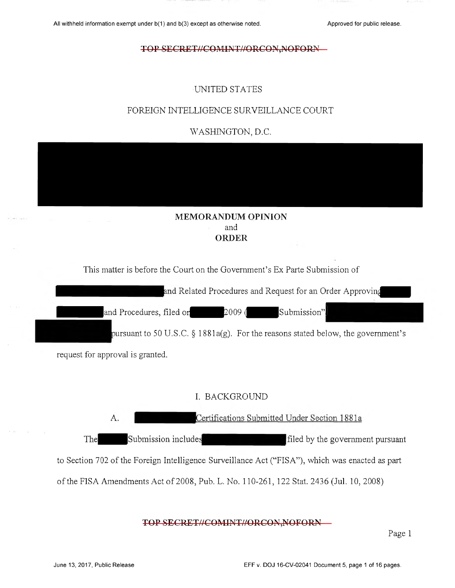# UNITED STATES

# FOREIGN INTELLIGENCE SURVEILLANCE COURT

WASHINGTON, D.C.

# MEMORANDUM OPINION and ORDER

This matter is before the Court on the Government's Ex Parte Submission of

and Related Procedures and Request for an Order Approving

and Procedures, filed or  $\begin{array}{ccc} 2009 & / \end{array}$  Submission"

pursuant to 50 U.S.C.  $\S 1881a(g)$ . For the reasons stated below, the government's

request for approval is granted.

# I. BACKGROUND

Certifications Submitted Under Section 1881a А. The Submission includes filed by the government pursuant to Section 702 of the Foreign Intelligence Surveillance Act ("FISA"), which was enacted as part of the FISA Amendments Act of 2008, Pub. L. No. 110-261, 122 Stat. 2436 (Jul. 10, 2008)

## TOP SECRET//COMINT//ORCON,NOFORN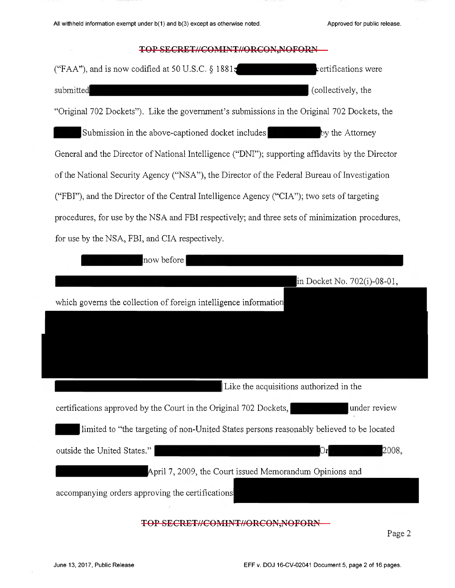$\alpha$ 

# TOP SECRET//COMINT//ORCON,NOFORN

| ("FAA"), and is now codified at 50 U.S.C. $\S$ 1881z<br>certifications were                      |  |  |  |  |
|--------------------------------------------------------------------------------------------------|--|--|--|--|
| submitted<br>(collectively, the                                                                  |  |  |  |  |
| "Original 702 Dockets"). Like the government's submissions in the Original 702 Dockets, the      |  |  |  |  |
| Submission in the above-captioned docket includes<br>by the Attorney                             |  |  |  |  |
| General and the Director of National Intelligence ("DNI"); supporting affidavits by the Director |  |  |  |  |
| of the National Security Agency ("NSA"), the Director of the Federal Bureau of Investigation     |  |  |  |  |
| ("FBI"), and the Director of the Central Intelligence Agency ("CIA"); two sets of targeting      |  |  |  |  |
| procedures, for use by the NSA and FBI respectively; and three sets of minimization procedures,  |  |  |  |  |
| for use by the NSA, FBI, and CIA respectively.                                                   |  |  |  |  |
| now before                                                                                       |  |  |  |  |
| in Docket No. 702(i)-08-01,                                                                      |  |  |  |  |
| which governs the collection of foreign intelligence information                                 |  |  |  |  |
|                                                                                                  |  |  |  |  |
|                                                                                                  |  |  |  |  |
|                                                                                                  |  |  |  |  |
| Like the acquisitions authorized in the                                                          |  |  |  |  |
| certifications approved by the Court in the Original 702 Dockets,<br>under review                |  |  |  |  |
| limited to "the targeting of non-United States persons reasonably believed to be located         |  |  |  |  |
| outside the United States."<br>2008,<br>r                                                        |  |  |  |  |
| April 7, 2009, the Court issued Memorandum Opinions and                                          |  |  |  |  |
| accompanying orders approving the certifications                                                 |  |  |  |  |
|                                                                                                  |  |  |  |  |
| <del>ERET//COMINT//ORCON,NOFORN</del>                                                            |  |  |  |  |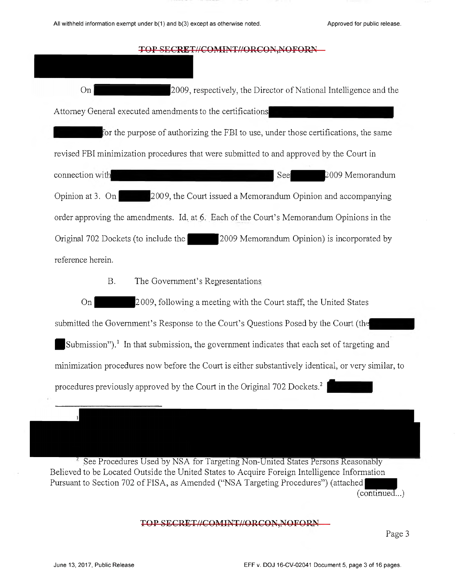On |2009, respectively, the Director of National Intelligence and the Attorney General executed amendments to the certifications for the purpose of authorizing the FBI to use, under those certifications, the same revised FBI minimization procedures that were submitted to and approved by the Court in connection S e e ^ ^ ^ ^ ^ -0 0 9 Memorandum Opinion at 3. On  $\sim$  2009, the Court issued a Memorandum Opinion and accompanying order approving the amendments. Id. at 6. Each of the Court's Memorandum Opinions in the Original 702 Dockets (to include the  $\sim$  | 2009 Memorandum Opinion) is incorporated by reference herein.

B. The Government's Representations

On 2009, following a meeting with the Court staff, the United States

submitted the Government's Response to the Court's Questions Posed by the Court (the

Submission").<sup>1</sup> In that submission, the government indicates that each set of targeting and minimization procedures now before the Court is either substantively identical, or very similar, to procedures previously approved by the Court in the Original 702 Dockets.<sup>2</sup>

See Procedures Used by NSA for Targeting Non-United States Persons Reasonably Believed to be Located Outside the United States to Acquire Foreign Intelligence Information Pursuant to Section 702 of FISA, as Amended ("NSA Targeting Procedures") (attached (continued...)

# TOP SECRET//COMINT//ORCON, NOFORN

Top Secretary Secretary Page 3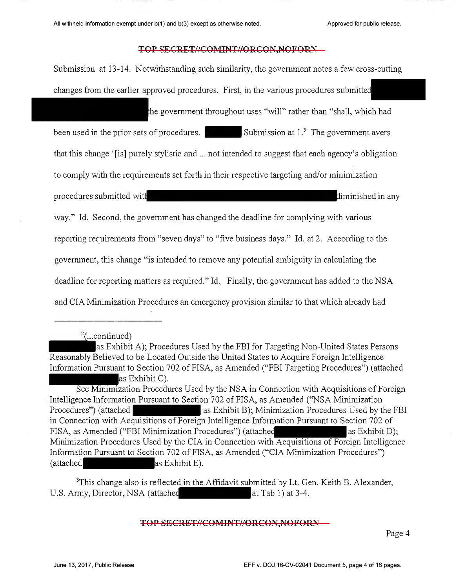Submission at 13-14. Notwithstanding such similarity, the government notes a few cross-cutting changes from the earlier approved procedures. First, in the various procedures submitted

the government throughout uses "will" rather than "shall, which had

been used in the prior sets of procedures. Submission at  $1<sup>3</sup>$  The government avers that this change '[is] purely stylistic and ... not intended to suggest that each agency's obligation

to comply with the requirements set forth in their respective targeting and/or minimization

procedures submitted with procedures submitted with  $\frac{1}{2}$  and  $\frac{1}{2}$  and  $\frac{1}{2}$  and  $\frac{1}{2}$  and  $\frac{1}{2}$  and  $\frac{1}{2}$  and  $\frac{1}{2}$  and  $\frac{1}{2}$  and  $\frac{1}{2}$  and  $\frac{1}{2}$  and  $\frac{1}{2}$  and  $\frac{1}{2}$  and  $\$ 

way." Id. Second, the government has changed the deadline for complying with various reporting requirements from "seven days" to "five business days." Id. at 2. According to the government, this change "is intended to remove any potential ambiguity in calculating the deadline for reporting matters as required." Id. Finally, the government has added to the NSA and CIA Minimization Procedures an emergency provision similar to that which already had

 $^{2}$ (... continued)

as Exhibit A); Procedures Used by the FBI for Targeting Non-United States Persons Reasonably Believed to be Located Outside the United States to Acquire Foreign Intelligence Information Pursuant to Section 702 of FISA, as Amended ("FBI Targeting Procedures") (attached as Exhibit C).

<sup>3</sup>This change also is reflected in the Affidavit submitted by Lt. Gen. Keith B. Alexander, U.S. Army, Director, NSA (attached at Tab 1) at 3-4.

TOP SECRET//COMINT//ORCON,NOFORN

See Minimization Procedures Used by the NSA in Connection with Acquisitions of Foreign Intelligence Information Pursuant to Section 702 of FISA, as Amended ("NSA Minimization Procedures") (attached as Exhibit B); Minimization Procedures Used by the FBI in Connection with Acquisitions of Foreign Intelligence Information Pursuant to Section 702 of FISA, as Amended ("FBI Minimization Procedures") (attached  $\blacksquare$  as Exhibit D); Minimization Procedures Used by the CIA in Connection with Acquisitions of Foreign Intelligence Information Pursuant to Section 702 of FISA, as Amended ("CIA Minimization Procedures") (attached as Exhibit E).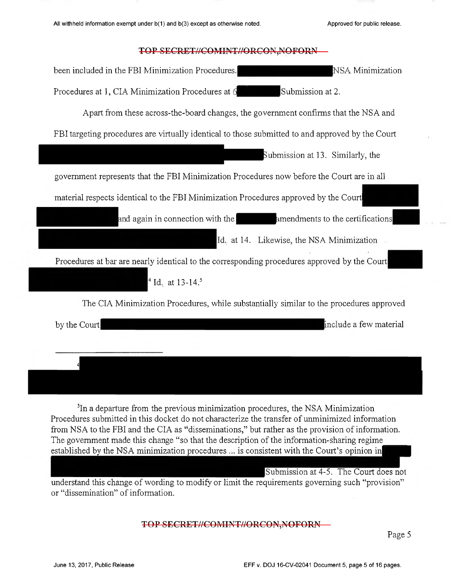| NSA Minimization<br>been included in the FBI Minimization Procedures.                            |
|--------------------------------------------------------------------------------------------------|
| Submission at 2.<br>Procedures at 1, CIA Minimization Procedures at 6                            |
| Apart from these across-the-board changes, the government confirms that the NSA and              |
| FBI targeting procedures are virtually identical to those submitted to and approved by the Court |
| Submission at 13. Similarly, the                                                                 |
| government represents that the FBI Minimization Procedures now before the Court are in all       |
| material respects identical to the FBI Minimization Procedures approved by the Court             |
| and again in connection with the <b>the annuments</b> to the certifications                      |
| Id. at 14. Likewise, the NSA Minimization                                                        |
| Procedures at bar are nearly identical to the corresponding procedures approved by the Court     |
| <sup>4</sup> Id. at 13-14. <sup>5</sup>                                                          |
| The CIA Minimization Procedures, while substantially similar to the procedures approved          |
| include a few material<br>by the Court                                                           |
|                                                                                                  |
|                                                                                                  |

<sup>5</sup>In a departure from the previous minimization procedures, the NSA Minimization Procedures submitted in this docket do not characterize the transfer of unminimized information from NSA to the FBI and the CIA as "disseminations," but rather as the provision of information. The government made this change "so that the description of the information-sharing regime established by the NSA minimization procedures ... is consistent with the Court's opinion in|

Submission at 4-5. The Court does not understand this change of wording to modify or limit the requirements governing such "provision" or "dissemination" of information.

TOP SECRET//COMINT//ORCON,NOFORN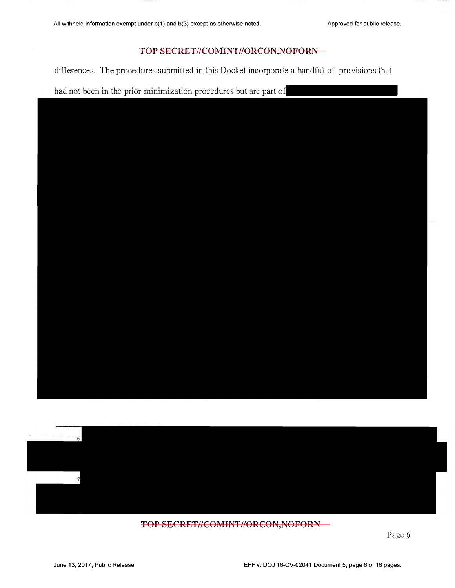differences. The procedures submitted in this Docket incorporate a handful of provisions that

had not been in the prior minimization procedures but are part of





# TOP SECRET//COMINT//ORCON,NOFORN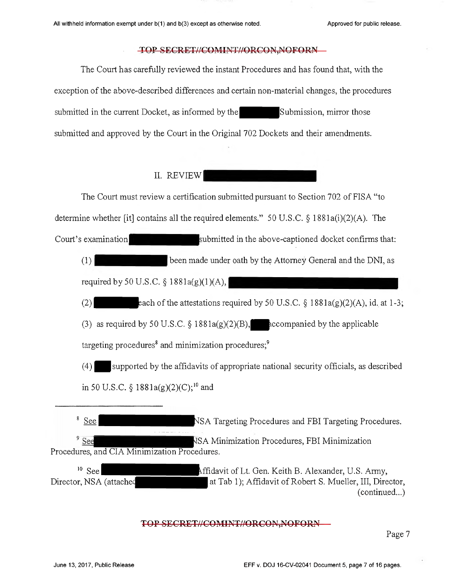The Court has carefully reviewed the instant Procedures and has found that, with the exception of the above-described differences and certain non-material changes, the procedures submitted in the current Docket, as informed by the  $\blacksquare$  Subm ission, mirror those submitted and approved by the Court in the Original 702 Dockets and their amendments.

# II. REVIEW |

The Court must review a certification submitted pursuant to Section 702 of FISA "to determine whether [it] contains all the required elements." 50 U.S.C. § 1881a(i)(2)(A). The Court's examination submitted in the above-captioned docket confirms that: (1) been made under oath by the Attorney General and the DNI, as required by 50 U.S.C.  $\S$  1881a(g)(1)(A), (2)  $\blacksquare$  each of the attestations required by 50 U.S.C. § 1881a(g)(2)(A), id. at 1-3; (3) as required by 50 U.S.C.  $\S$  1881a(g)(2)(B), accompanied by the applicable targeting procedures<sup>8</sup> and minimization procedures;<sup>9</sup>  $(4)$  — supported by the affidavits of appropriate national security officials, as described in 50 U.S.C. § 1881a(g)(2)(C);<sup>10</sup> and <sup>8</sup> See NSA Targeting Procedures and FBI Targeting Procedures. <sup>9</sup> See SA Minimization Procedures, FBI Minimization Procedures, and CIA Minimization Procedures.  $10$  See ffidavit of Lt. Gen. Keith B. Alexander, U.S. Army, Director, NSA (attache' at Tab 1); Affidavit of Robert S. Mueller, III, Director, (continued...)

# TOP SECRET//COMINT//ORCON,NOFORN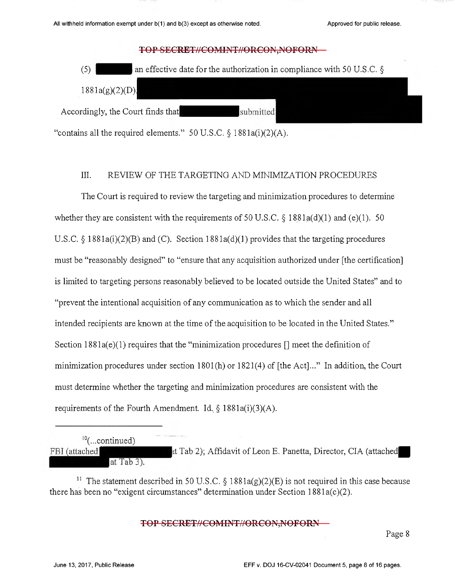

## III. REVIEW OF THE TARGETING AND MINIMIZATION PROCEDURES

The Court is required to review the targeting and minimization procedures to determine whether they are consistent with the requirements of 50 U.S.C.  $\S$  1881a(d)(1) and (e)(1). 50 U.S.C.  $\S$  1881a(i)(2)(B) and (C). Section 1881a(d)(1) provides that the targeting procedures must be "reasonably designed" to "ensure that any acquisition authorized under [the certification] is limited to targeting persons reasonably believed to be located outside the United States" and to "prevent the intentional acquisition of any communication as to which the sender and all intended recipients are known at the time of the acquisition to be located in the United States." Section 1881a(e)(1) requires that the "minimization procedures [] meet the definition of minimization procedures under section 1801(h) or 1821(4) of [the Act]..." In addition, the Court must determine whether the targeting and minimization procedures are consistent with the requirements of the Fourth Amendment. Id.  $\S$  1881a(i)(3)(A).

| $^{10}$ (continued) |                                                                  |  |
|---------------------|------------------------------------------------------------------|--|
| FBI (attached       | at Tab 2); Affidavit of Leon E. Panetta, Director, CIA (attached |  |
| at Tab $3$ ).       |                                                                  |  |

<sup>11</sup> The statement described in 50 U.S.C. § 1881a(g)(2)(E) is not required in this case because there has been no "exigent circumstances" determination under Section 1881a(c)(2).

TOP SECRET//COMINT//ORCON,NOFORN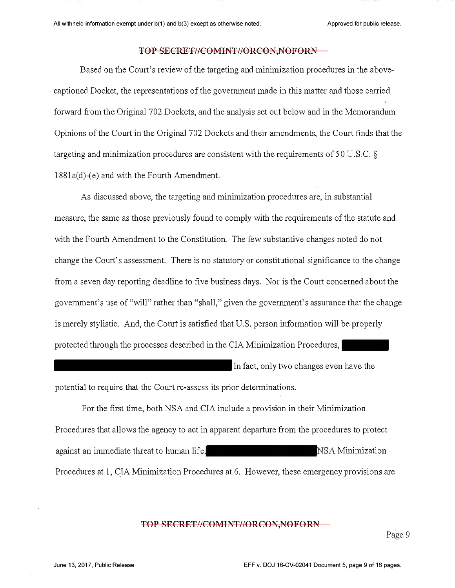Based on the Court's review of the targeting and minimization procedures in the abovecaptioned Docket, the representations of the government made in this matter and those carried forward from the Original 702 Dockets, and the analysis set out below and in the Memorandum Opinions of the Court in the Original 702 Dockets and their amendments, the Court finds that the targeting and minimization procedures are consistent with the requirements of 50 U.S .C. § 1881a(d)-(e) and with the Fourth Amendment.

As discussed above, the targeting and minimization procedures are, in substantial measure, the same as those previously found to comply with the requirements of the statute and with the Fourth Amendment to the Constitution. The few substantive changes noted do not change the Court's assessment. There is no statutory or constitutional significance to the change from a seven day reporting deadline to five business days. Nor is the Court concerned about the government's use of "will" rather than "shall," given the government's assurance that the change is merely stylistic. And, the Court is satisfied that U.S. person information will be properly protected through the processes described in the CIA Minimization Procedures,

In fact, only two changes even have the

potential to require that the Court re-assess its prior determinations.

For the first time, both NSA and CIA include a provision in their Minimization Procedures that allows the agency to act in apparent departure from the procedures to protect against an immediate threat to human life. The mass of the NSA Minimization Procedures at 1, CIA Minimization Procedures at 6. However, these emergency provisions are

## TOP SECRET//COMINT//ORCON,NOFORN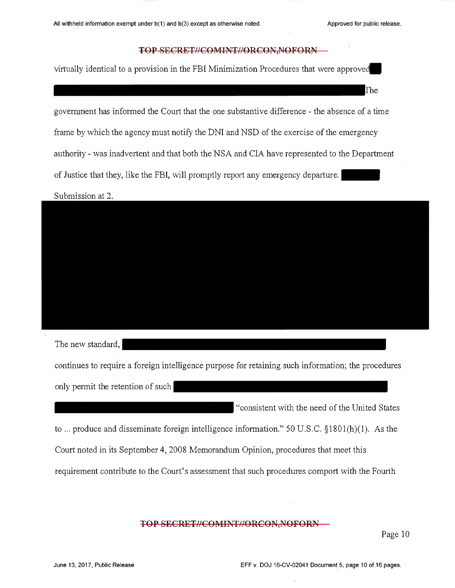he

## TOP SECRET//COMINT//ORCON,NOFORN

virtually identical to a provision in the FBI Minimization Procedures that were approve

government has informed the Court that the one substantive difference - the absence of a time

frame by which the agency must notify the DNI and NSD of the exercise of the emergency

authority - was inadvertent and that both the NSA and CIA have represented to the Department

of Justice that they, like the FBI, will promptly report any emergency departure.

Submission at 2.



The new standard,

continues to require a foreign intelligence purpose for retaining such information; the procedures

only permit the retention of such

"consistent with the need of the United States

to ... produce and disseminate foreign intelligence information." 50 U.S.C. §1801(h)(l). As the Court noted in its September 4, 2008 Memorandum Opinion, procedures that meet this requirement contribute to the Court's assessment that such procedures comport with the Fourth

# TOP SECRET//COMINT//ORCON,NOFORN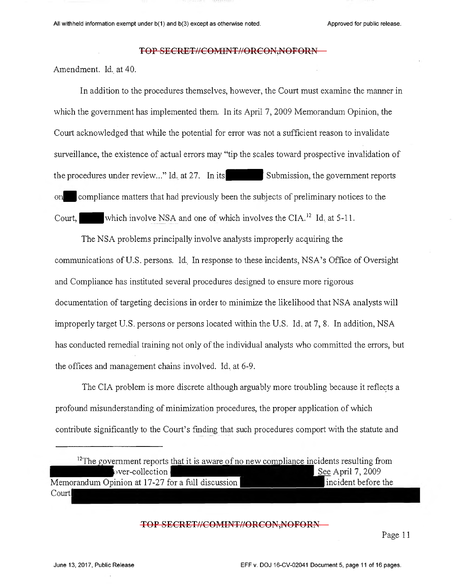Amendment. Id. at 40.

In addition to the procedures themselves, however, the Court must examine the manner in which the government has implemented them. In its April 7, 2009 Memorandum Opinion, the Court acknowledged that while the potential for error was not a sufficient reason to invalidate surveillance, the existence of actual errors may "tip the scales toward prospective invalidation of the procedures under review..." Id. at 27. In its  $\blacksquare$  Submission, the government reports 01 compliance matters that had previously been the subjects of preliminary notices to the Court, which involve NSA and one of which involves the CIA.<sup>12</sup> Id. at 5-11.

The NSA problems principally involve analysts improperly acquiring the communications of U.S. persons. Id., In response to these incidents, NSA's Office of Oversight and Compliance has instituted several procedures designed to ensure more rigorous documentation of targeting decisions in order to minimize the likelihood that NSA analysts will improperly target U.S. persons or persons located within the U.S. Id. at 7, 8. In addition, NSA has conducted remedial training not only of the individual analysts who committed the errors, but the offices and management chains involved. Id. at 6-9.

The CIA problem is more discrete although arguably more troubling because it reflects a profound misunderstanding of minimization procedures, the proper application of which contribute significantly to the Court's finding that such procedures comport with the statute and

| <sup>12</sup> The government reports that it is aware of no new compliance incidents resulting from |                     |
|-----------------------------------------------------------------------------------------------------|---------------------|
| $over-collections$                                                                                  | See April $7,2009$  |
| Memorandum Opinion at 17-27 for a full discussion                                                   | incident before the |
| Court                                                                                               |                     |

#### TOP SECRET//COMINT//ORCON,NOFORN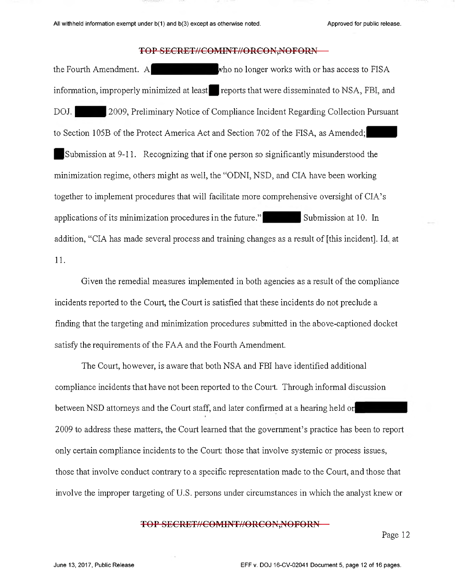the Fourth Amendment. A who no longer works with or has access to FISA information, improperly minimized at least reports that were disseminated to NSA, FBI, and DOJ. 2009, Preliminary Notice of Compliance Incident Regarding Collection Pursuant to Section 105B of the Protect America Act and Section 702 of the FISA, as Amended; Submission at 9-11. Recognizing that if one person so significantly misunderstood the minimization regime, others might as well, the "ODNI, NSD, and CIA have been working together to implement procedures that will facilitate more comprehensive oversight of CIA's applications of its minimization procedures in the future." Submission at 10. In addition, "CIA has made several process and training changes as a result of [this incident]. Id. at 11.

Given the remedial measures implemented in both agencies as a result of the compliance incidents reported to the Court, the Court is satisfied that these incidents do not preclude a finding that the targeting and minimization procedures submitted in the above-captioned docket satisfy the requirements of the FAA and the Fourth Amendment.

The Court, however, is aware that- both NSA and FBI have identified additional compliance incidents that have not been reported to the Court. Through informal discussion between NSD attorneys and the Court staff, and later confirmed at a hearing held or 2009 to address these matters, the Court learned that the government's practice has been to report only certain compliance incidents to the Court: those that involve systemic or process issues, those that involve conduct contrary to a specific representation made to the Court, and those that involve the improper targeting of U.S. persons under circumstances in which the analyst knew or

## TOP SECRET//COMINT//ORCON, NOFORN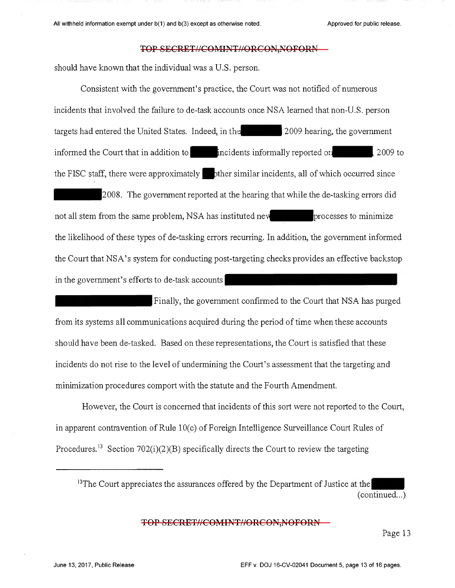should have known that the individual was a U.S. person.

Consistent with the government's practice, the Court was not notified of numerous incidents that involved the failure to de-task accounts once NSA learned that non-U.S. person targets had entered the United States. Indeed, in the 2009 hearing, the government informed the Court that in addition to  $\blacksquare$  incidents informally reported on  $\blacksquare$  2009 to the FISC staff, there were approximately  $\blacksquare$  other similar incidents, all of which occurred since 2008. The government reported at the hearing that while the de-tasking errors did not all stem from the same problem, NSA has instituted new processes to minimize the likelihood of these types of de-tasking errors recurring. In addition, the government informed the Court that NSA's system for conducting post-targeting checks provides an effective backstop in the government's efforts to de-task accounts

Finally, the government confirmed to the Court that NSA has purged from its systems all communications acquired during the period of time when these accounts should have been de-tasked. Based on these representations, the Court is satisfied that these incidents do not rise to the level of undermining the Court's assessment that the targeting and minimization procedures comport with the statute and the Fourth Amendment.

However, the Court is concerned that incidents of this sort were not reported to the Court, in apparent contravention of Rule 10(c) of Foreign Intelligence Surveillance Court Rules of Procedures.<sup>13</sup> Section 702(i)(2)(B) specifically directs the Court to review the targeting

<sup>13</sup>The Court appreciates the assurances offered by the Department of Justice at the (continued...)

## TOP SECRET//COMINT//ORCON,NOFORN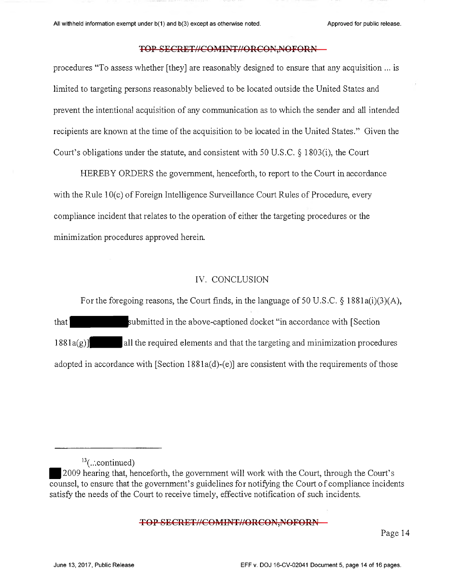procedures "To assess whether [they] are reasonably designed to ensure that any acquisition ... is limited to targeting persons reasonably believed to be located outside the United States and prevent the intentional acquisition of any communication as to which the sender and all intended recipients are known at the time of the acquisition to be located in the United States." Given the Court's obligations under the statute, and consistent with 50 U.S.C. § 1803(i), the Court

HEREBY ORDERS the government, henceforth, to report to the Court in accordance with the Rule 10(c) of Foreign Intelligence Surveillance Court Rules of Procedure, every compliance incident that relates to the operation of either the targeting procedures or the minimization procedures approved herein.

# IV. CONCLUSION

For the foregoing reasons, the Court finds, in the language of 50 U.S.C. § 1881a(i)(3)(A), that **bush its in** the above-captioned docket "in accordance with [Section  $1881a(g)$  all the required elements and that the targeting and minimization procedures adopted in accordance with [Section 1881a(d)-(e)] are consistent with the requirements of those

#### TOP SECRET//COMINT//ORCON, NOFORN

 $13$ (...continued)

<sup>2009</sup> hearing that, henceforth, the government will work with the Court, through the Court's  $\overline{\text{counds}}$ , to ensure that the government's guidelines for notifying the Court of compliance incidents satisfy the needs of the Court to receive timely, effective notification of such incidents.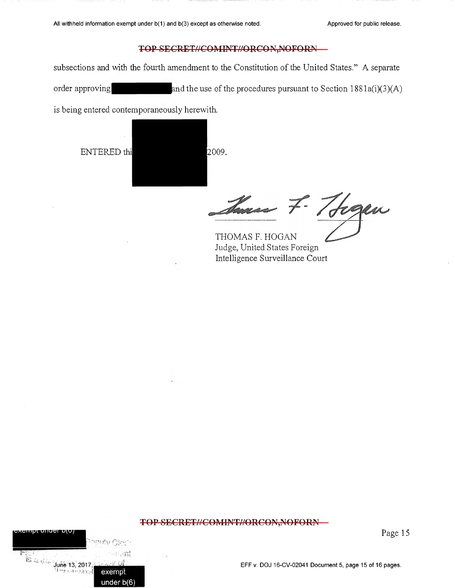subsections and with the fourth amendment to the Constitution of the United States." A separate order approving and the use of the procedures pursuant to Section  $1881a(i)(3)(A)$ 

is being entered contemporaneously herewith.

ENTERED thi 2009.

**exempt under b(6)**

. B. STO

THAY G{c

Sures 7. Trogen

THOMAS F. HOGAN Judge, United States Foreign Intelligence Surveillance Court

# TOP SECRET//COMINT//ORCON,NOFORN

Page 15

 $\overline{\text{MS}} \approx \frac{1}{2} \frac{1}{\text{Jupie 13, 2017}} \frac{1}{2} \frac{1}{\text{Jupie 13}} \frac{1}{\text{Jupie 13}} \frac{1}{\text{Jupie 15 of 16 pages.}}$